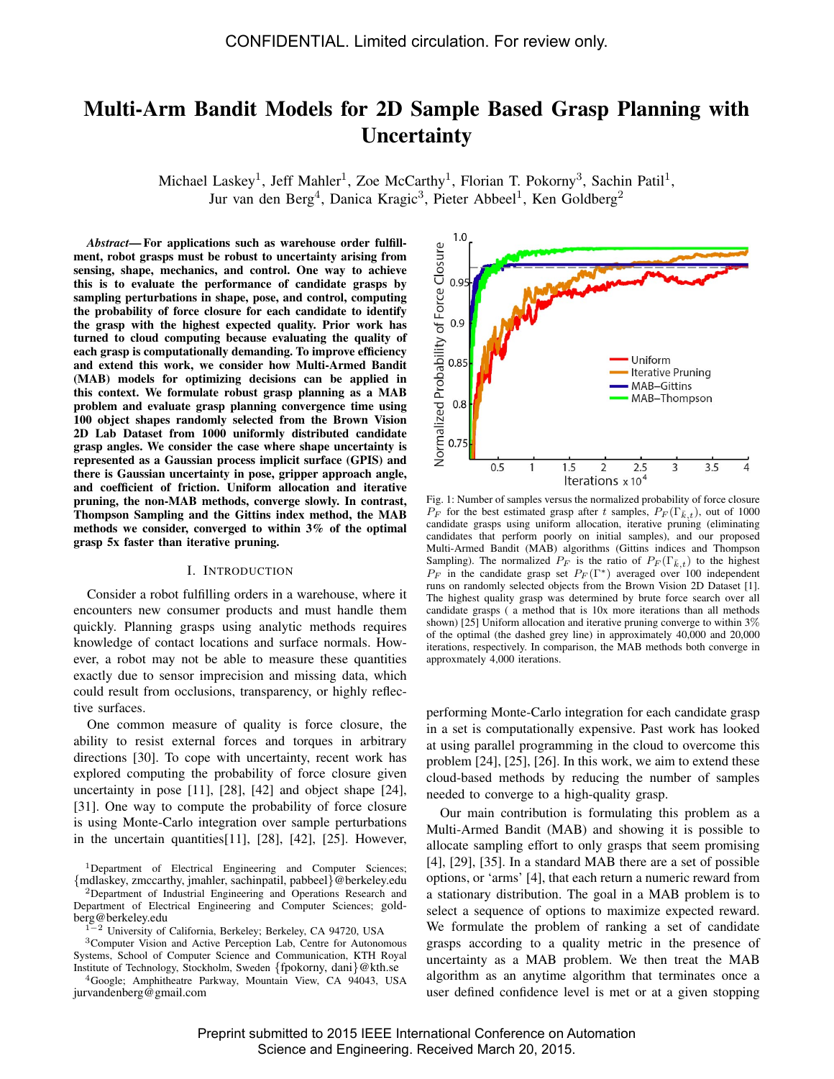# Multi-Arm Bandit Models for 2D Sample Based Grasp Planning with **Uncertainty**

Michael Laskey<sup>1</sup>, Jeff Mahler<sup>1</sup>, Zoe McCarthy<sup>1</sup>, Florian T. Pokorny<sup>3</sup>, Sachin Patil<sup>1</sup>, Jur van den Berg<sup>4</sup>, Danica Kragic<sup>3</sup>, Pieter Abbeel<sup>1</sup>, Ken Goldberg<sup>2</sup>

*Abstract*— For applications such as warehouse order fulfillment, robot grasps must be robust to uncertainty arising from sensing, shape, mechanics, and control. One way to achieve this is to evaluate the performance of candidate grasps by sampling perturbations in shape, pose, and control, computing the probability of force closure for each candidate to identify the grasp with the highest expected quality. Prior work has turned to cloud computing because evaluating the quality of each grasp is computationally demanding. To improve efficiency and extend this work, we consider how Multi-Armed Bandit (MAB) models for optimizing decisions can be applied in this context. We formulate robust grasp planning as a MAB problem and evaluate grasp planning convergence time using 100 object shapes randomly selected from the Brown Vision 2D Lab Dataset from 1000 uniformly distributed candidate grasp angles. We consider the case where shape uncertainty is represented as a Gaussian process implicit surface (GPIS) and there is Gaussian uncertainty in pose, gripper approach angle, and coefficient of friction. Uniform allocation and iterative pruning, the non-MAB methods, converge slowly. In contrast, Thompson Sampling and the Gittins index method, the MAB methods we consider, converged to within 3% of the optimal grasp 5x faster than iterative pruning.

#### I. INTRODUCTION

Consider a robot fulfilling orders in a warehouse, where it encounters new consumer products and must handle them quickly. Planning grasps using analytic methods requires knowledge of contact locations and surface normals. However, a robot may not be able to measure these quantities exactly due to sensor imprecision and missing data, which could result from occlusions, transparency, or highly reflective surfaces.

One common measure of quality is force closure, the ability to resist external forces and torques in arbitrary directions [30]. To cope with uncertainty, recent work has explored computing the probability of force closure given uncertainty in pose [11], [28], [42] and object shape [24], [31]. One way to compute the probability of force closure is using Monte-Carlo integration over sample perturbations in the uncertain quantities[11], [28], [42], [25]. However,

<sup>2</sup>Department of Industrial Engineering and Operations Research and Department of Electrical Engineering and Computer Sciences; goldberg@berkeley.edu

<sup>1</sup>−<sup>2</sup> University of California, Berkeley; Berkeley, CA 94720, USA

<sup>3</sup>Computer Vision and Active Perception Lab, Centre for Autonomous Systems, School of Computer Science and Communication, KTH Royal Institute of Technology, Stockholm, Sweden {fpokorny, dani}@kth.se

<sup>4</sup>Google; Amphitheatre Parkway, Mountain View, CA 94043, USA jurvandenberg@gmail.com



Fig. 1: Number of samples versus the normalized probability of force closure  $P_F$  for the best estimated grasp after t samples,  $P_F(\Gamma_{\bar{k},t})$ , out of 1000 candidate grasps using uniform allocation, iterative pruning (eliminating candidates that perform poorly on initial samples), and our proposed Multi-Armed Bandit (MAB) algorithms (Gittins indices and Thompson Sampling). The normalized  $P_F$  is the ratio of  $P_F(\Gamma_{\bar{k},t})$  to the highest  $P_F$  in the candidate grasp set  $P_F(\Gamma^*)$  averaged over 100 independent runs on randomly selected objects from the Brown Vision 2D Dataset [1]. The highest quality grasp was determined by brute force search over all candidate grasps ( a method that is 10x more iterations than all methods shown) [25] Uniform allocation and iterative pruning converge to within 3% of the optimal (the dashed grey line) in approximately 40,000 and 20,000 iterations, respectively. In comparison, the MAB methods both converge in approxmately 4,000 iterations.

performing Monte-Carlo integration for each candidate grasp in a set is computationally expensive. Past work has looked at using parallel programming in the cloud to overcome this problem [24], [25], [26]. In this work, we aim to extend these cloud-based methods by reducing the number of samples needed to converge to a high-quality grasp.

Our main contribution is formulating this problem as a Multi-Armed Bandit (MAB) and showing it is possible to allocate sampling effort to only grasps that seem promising [4], [29], [35]. In a standard MAB there are a set of possible options, or 'arms' [4], that each return a numeric reward from a stationary distribution. The goal in a MAB problem is to select a sequence of options to maximize expected reward. We formulate the problem of ranking a set of candidate grasps according to a quality metric in the presence of uncertainty as a MAB problem. We then treat the MAB algorithm as an anytime algorithm that terminates once a user defined confidence level is met or at a given stopping

Preprint submitted to 2015 IEEE International Conference on Automation Science and Engineering. Received March 20, 2015.

<sup>1</sup>Department of Electrical Engineering and Computer Sciences; {mdlaskey, zmccarthy, jmahler, sachinpatil, pabbeel}@berkeley.edu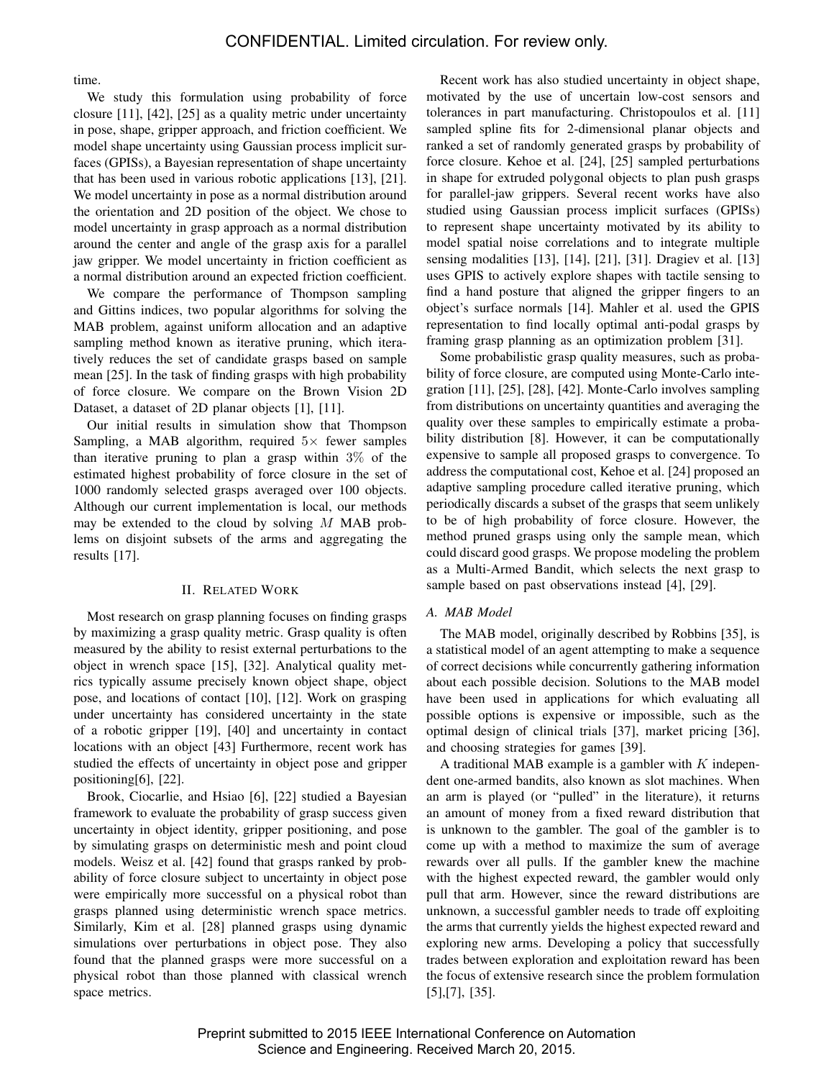time.

We study this formulation using probability of force closure [11], [42], [25] as a quality metric under uncertainty in pose, shape, gripper approach, and friction coefficient. We model shape uncertainty using Gaussian process implicit surfaces (GPISs), a Bayesian representation of shape uncertainty that has been used in various robotic applications [13], [21]. We model uncertainty in pose as a normal distribution around the orientation and 2D position of the object. We chose to model uncertainty in grasp approach as a normal distribution around the center and angle of the grasp axis for a parallel jaw gripper. We model uncertainty in friction coefficient as a normal distribution around an expected friction coefficient.

We compare the performance of Thompson sampling and Gittins indices, two popular algorithms for solving the MAB problem, against uniform allocation and an adaptive sampling method known as iterative pruning, which iteratively reduces the set of candidate grasps based on sample mean [25]. In the task of finding grasps with high probability of force closure. We compare on the Brown Vision 2D Dataset, a dataset of 2D planar objects [1], [11].

Our initial results in simulation show that Thompson Sampling, a MAB algorithm, required  $5\times$  fewer samples than iterative pruning to plan a grasp within 3% of the estimated highest probability of force closure in the set of 1000 randomly selected grasps averaged over 100 objects. Although our current implementation is local, our methods may be extended to the cloud by solving  $M$  MAB problems on disjoint subsets of the arms and aggregating the results [17].

## II. RELATED WORK

Most research on grasp planning focuses on finding grasps by maximizing a grasp quality metric. Grasp quality is often measured by the ability to resist external perturbations to the object in wrench space [15], [32]. Analytical quality metrics typically assume precisely known object shape, object pose, and locations of contact [10], [12]. Work on grasping under uncertainty has considered uncertainty in the state of a robotic gripper [19], [40] and uncertainty in contact locations with an object [43] Furthermore, recent work has studied the effects of uncertainty in object pose and gripper positioning[6], [22].

Brook, Ciocarlie, and Hsiao [6], [22] studied a Bayesian framework to evaluate the probability of grasp success given uncertainty in object identity, gripper positioning, and pose by simulating grasps on deterministic mesh and point cloud models. Weisz et al. [42] found that grasps ranked by probability of force closure subject to uncertainty in object pose were empirically more successful on a physical robot than grasps planned using deterministic wrench space metrics. Similarly, Kim et al. [28] planned grasps using dynamic simulations over perturbations in object pose. They also found that the planned grasps were more successful on a physical robot than those planned with classical wrench space metrics.

Recent work has also studied uncertainty in object shape, motivated by the use of uncertain low-cost sensors and tolerances in part manufacturing. Christopoulos et al. [11] sampled spline fits for 2-dimensional planar objects and ranked a set of randomly generated grasps by probability of force closure. Kehoe et al. [24], [25] sampled perturbations in shape for extruded polygonal objects to plan push grasps for parallel-jaw grippers. Several recent works have also studied using Gaussian process implicit surfaces (GPISs) to represent shape uncertainty motivated by its ability to model spatial noise correlations and to integrate multiple sensing modalities [13], [14], [21], [31]. Dragiev et al. [13] uses GPIS to actively explore shapes with tactile sensing to find a hand posture that aligned the gripper fingers to an object's surface normals [14]. Mahler et al. used the GPIS representation to find locally optimal anti-podal grasps by framing grasp planning as an optimization problem [31].

Some probabilistic grasp quality measures, such as probability of force closure, are computed using Monte-Carlo integration [11], [25], [28], [42]. Monte-Carlo involves sampling from distributions on uncertainty quantities and averaging the quality over these samples to empirically estimate a probability distribution [8]. However, it can be computationally expensive to sample all proposed grasps to convergence. To address the computational cost, Kehoe et al. [24] proposed an adaptive sampling procedure called iterative pruning, which periodically discards a subset of the grasps that seem unlikely to be of high probability of force closure. However, the method pruned grasps using only the sample mean, which could discard good grasps. We propose modeling the problem as a Multi-Armed Bandit, which selects the next grasp to sample based on past observations instead [4], [29].

## *A. MAB Model*

The MAB model, originally described by Robbins [35], is a statistical model of an agent attempting to make a sequence of correct decisions while concurrently gathering information about each possible decision. Solutions to the MAB model have been used in applications for which evaluating all possible options is expensive or impossible, such as the optimal design of clinical trials [37], market pricing [36], and choosing strategies for games [39].

A traditional MAB example is a gambler with  $K$  independent one-armed bandits, also known as slot machines. When an arm is played (or "pulled" in the literature), it returns an amount of money from a fixed reward distribution that is unknown to the gambler. The goal of the gambler is to come up with a method to maximize the sum of average rewards over all pulls. If the gambler knew the machine with the highest expected reward, the gambler would only pull that arm. However, since the reward distributions are unknown, a successful gambler needs to trade off exploiting the arms that currently yields the highest expected reward and exploring new arms. Developing a policy that successfully trades between exploration and exploitation reward has been the focus of extensive research since the problem formulation [5],[7], [35].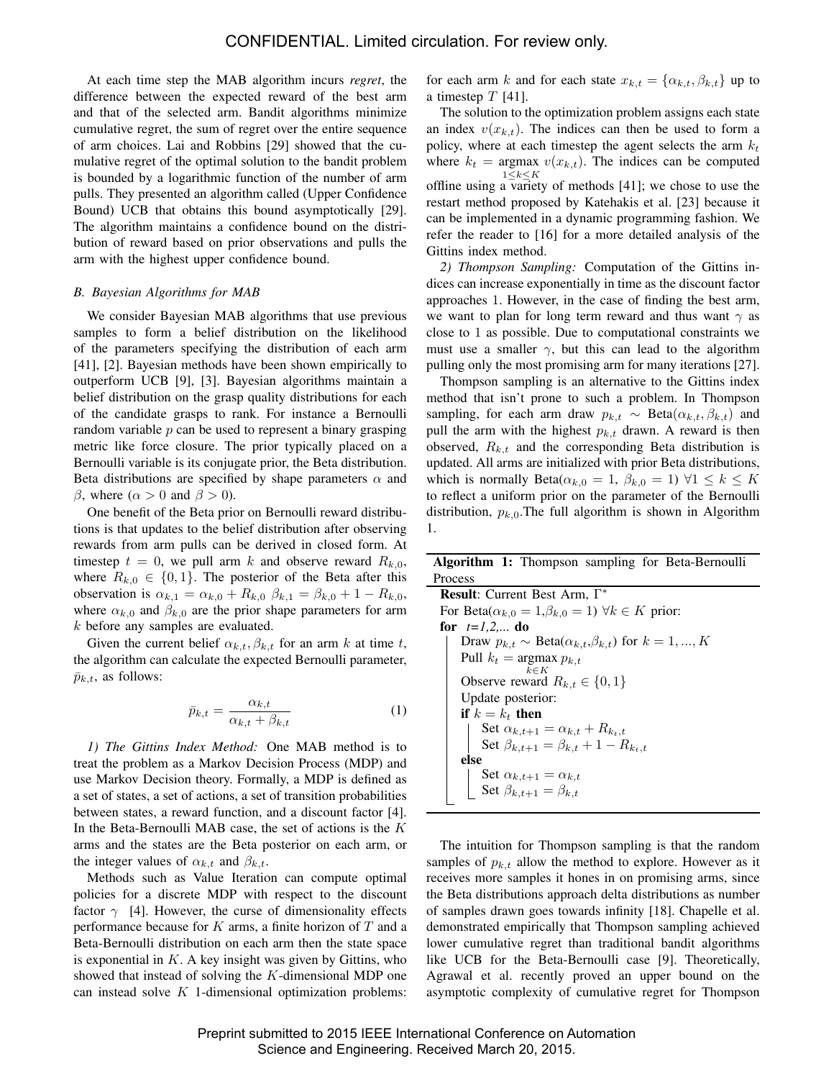At each time step the MAB algorithm incurs *regret*, the difference between the expected reward of the best arm and that of the selected arm. Bandit algorithms minimize cumulative regret, the sum of regret over the entire sequence of arm choices. Lai and Robbins [29] showed that the cumulative regret of the optimal solution to the bandit problem is bounded by a logarithmic function of the number of arm pulls. They presented an algorithm called (Upper Confidence Bound) UCB that obtains this bound asymptotically [29]. The algorithm maintains a confidence bound on the distribution of reward based on prior observations and pulls the arm with the highest upper confidence bound.

## *B. Bayesian Algorithms for MAB*

We consider Bayesian MAB algorithms that use previous samples to form a belief distribution on the likelihood of the parameters specifying the distribution of each arm [41], [2]. Bayesian methods have been shown empirically to outperform UCB [9], [3]. Bayesian algorithms maintain a belief distribution on the grasp quality distributions for each of the candidate grasps to rank. For instance a Bernoulli random variable  $p$  can be used to represent a binary grasping metric like force closure. The prior typically placed on a Bernoulli variable is its conjugate prior, the Beta distribution. Beta distributions are specified by shape parameters  $\alpha$  and β, where  $(α > 0$  and  $β > 0$ ).

One benefit of the Beta prior on Bernoulli reward distributions is that updates to the belief distribution after observing rewards from arm pulls can be derived in closed form. At timestep  $t = 0$ , we pull arm k and observe reward  $R_{k,0}$ , where  $R_{k,0} \in \{0,1\}$ . The posterior of the Beta after this observation is  $\alpha_{k,1} = \alpha_{k,0} + R_{k,0} \beta_{k,1} = \beta_{k,0} + 1 - R_{k,0}$ , where  $\alpha_{k,0}$  and  $\beta_{k,0}$  are the prior shape parameters for arm k before any samples are evaluated.

Given the current belief  $\alpha_{k,t}$ ,  $\beta_{k,t}$  for an arm k at time t, the algorithm can calculate the expected Bernoulli parameter,  $\bar{p}_{k,t}$ , as follows:

$$
\bar{p}_{k,t} = \frac{\alpha_{k,t}}{\alpha_{k,t} + \beta_{k,t}} \tag{1}
$$

*1) The Gittins Index Method:* One MAB method is to treat the problem as a Markov Decision Process (MDP) and use Markov Decision theory. Formally, a MDP is defined as a set of states, a set of actions, a set of transition probabilities between states, a reward function, and a discount factor [4]. In the Beta-Bernoulli MAB case, the set of actions is the  $K$ arms and the states are the Beta posterior on each arm, or the integer values of  $\alpha_{k,t}$  and  $\beta_{k,t}$ .

Methods such as Value Iteration can compute optimal policies for a discrete MDP with respect to the discount factor  $\gamma$  [4]. However, the curse of dimensionality effects performance because for  $K$  arms, a finite horizon of  $T$  and a Beta-Bernoulli distribution on each arm then the state space is exponential in  $K$ . A key insight was given by Gittins, who showed that instead of solving the K-dimensional MDP one can instead solve  $K$  1-dimensional optimization problems:

for each arm k and for each state  $x_{k,t} = {\alpha_{k,t}, \beta_{k,t}}$  up to a timestep  $T$  [41].

The solution to the optimization problem assigns each state an index  $v(x_{k,t})$ . The indices can then be used to form a policy, where at each timestep the agent selects the arm  $k_t$ where  $k_t$  = argmax  $v(x_{k,t})$ . The indices can be computed  $1{\leq}k{\leq}K$ offline using a variety of methods  $[41]$ ; we chose to use the restart method proposed by Katehakis et al. [23] because it can be implemented in a dynamic programming fashion. We refer the reader to [16] for a more detailed analysis of the Gittins index method.

*2) Thompson Sampling:* Computation of the Gittins indices can increase exponentially in time as the discount factor approaches 1. However, in the case of finding the best arm, we want to plan for long term reward and thus want  $\gamma$  as close to 1 as possible. Due to computational constraints we must use a smaller  $\gamma$ , but this can lead to the algorithm pulling only the most promising arm for many iterations [27].

Thompson sampling is an alternative to the Gittins index method that isn't prone to such a problem. In Thompson sampling, for each arm draw  $p_{k,t} \sim \text{Beta}(\alpha_{k,t}, \beta_{k,t})$  and pull the arm with the highest  $p_{k,t}$  drawn. A reward is then observed,  $R_{k,t}$  and the corresponding Beta distribution is updated. All arms are initialized with prior Beta distributions, which is normally Beta $(\alpha_{k,0} = 1, \beta_{k,0} = 1)$   $\forall 1 \leq k \leq K$ to reflect a uniform prior on the parameter of the Bernoulli distribution,  $p_{k,0}$ . The full algorithm is shown in Algorithm 1.

Algorithm 1: Thompson sampling for Beta-Bernoulli Process

| <b>Result:</b> Current Best Arm, $\Gamma^*$                                                          |  |  |  |  |
|------------------------------------------------------------------------------------------------------|--|--|--|--|
| For Beta $(\alpha_{k,0} = 1, \beta_{k,0} = 1)$ $\forall k \in K$ prior:                              |  |  |  |  |
| for $t=1,2,$ do                                                                                      |  |  |  |  |
| Draw $p_{k,t} \sim \text{Beta}(\alpha_{k,t}, \beta_{k,t})$ for $k = 1, , K$                          |  |  |  |  |
| Pull $k_t$ = argmax $p_{k,t}$                                                                        |  |  |  |  |
| $k$ $\in$ $K$                                                                                        |  |  |  |  |
| Observe reward $R_{k,t} \in \{0,1\}$                                                                 |  |  |  |  |
| Update posterior:                                                                                    |  |  |  |  |
| if $k = k_t$ then                                                                                    |  |  |  |  |
|                                                                                                      |  |  |  |  |
| Set $\alpha_{k,t+1} = \alpha_{k,t} + R_{k_t,t}$<br>Set $\beta_{k,t+1} = \beta_{k,t} + 1 - R_{k_t,t}$ |  |  |  |  |
| else                                                                                                 |  |  |  |  |
|                                                                                                      |  |  |  |  |
| Set $\alpha_{k,t+1} = \alpha_{k,t}$<br>Set $\beta_{k,t+1} = \beta_{k,t}$                             |  |  |  |  |

The intuition for Thompson sampling is that the random samples of  $p_{k,t}$  allow the method to explore. However as it receives more samples it hones in on promising arms, since the Beta distributions approach delta distributions as number of samples drawn goes towards infinity [18]. Chapelle et al. demonstrated empirically that Thompson sampling achieved lower cumulative regret than traditional bandit algorithms like UCB for the Beta-Bernoulli case [9]. Theoretically, Agrawal et al. recently proved an upper bound on the asymptotic complexity of cumulative regret for Thompson

Preprint submitted to 2015 IEEE International Conference on Automation Science and Engineering. Received March 20, 2015.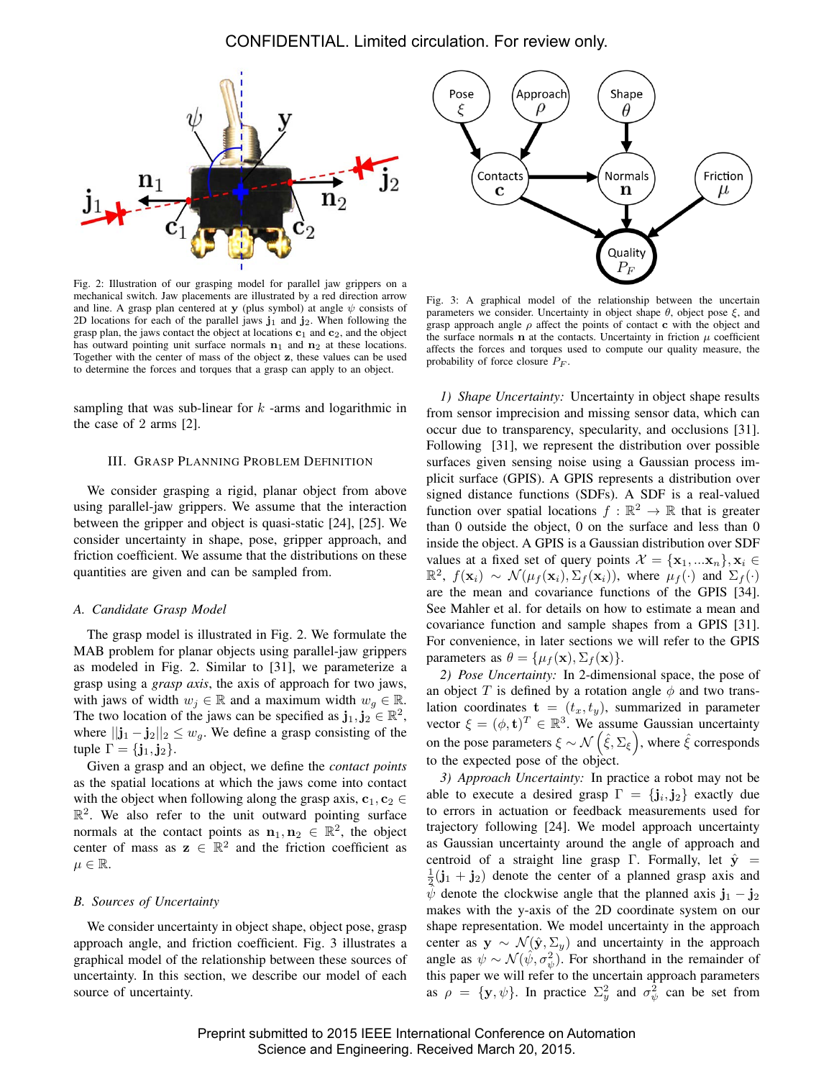

Fig. 2: Illustration of our grasping model for parallel jaw grippers on a mechanical switch. Jaw placements are illustrated by a red direction arrow and line. A grasp plan centered at y (plus symbol) at angle  $\psi$  consists of 2D locations for each of the parallel jaws  $j_1$  and  $j_2$ . When following the grasp plan, the jaws contact the object at locations  $c_1$  and  $c_2$ , and the object has outward pointing unit surface normals  $n_1$  and  $n_2$  at these locations. Together with the center of mass of the object z, these values can be used to determine the forces and torques that a grasp can apply to an object.

sampling that was sub-linear for  $k$  -arms and logarithmic in the case of 2 arms [2].

## III. GRASP PLANNING PROBLEM DEFINITION

We consider grasping a rigid, planar object from above using parallel-jaw grippers. We assume that the interaction between the gripper and object is quasi-static [24], [25]. We consider uncertainty in shape, pose, gripper approach, and friction coefficient. We assume that the distributions on these quantities are given and can be sampled from.

#### *A. Candidate Grasp Model*

The grasp model is illustrated in Fig. 2. We formulate the MAB problem for planar objects using parallel-jaw grippers as modeled in Fig. 2. Similar to [31], we parameterize a grasp using a *grasp axis*, the axis of approach for two jaws, with jaws of width  $w_i \in \mathbb{R}$  and a maximum width  $w_a \in \mathbb{R}$ . The two location of the jaws can be specified as  $\mathbf{j}_1, \mathbf{j}_2 \in \mathbb{R}^2$ , where  $||\mathbf{j}_1 - \mathbf{j}_2||_2 \leq w_g$ . We define a grasp consisting of the tuple  $\Gamma = {\bf j}_1, {\bf j}_2$ .

Given a grasp and an object, we define the *contact points* as the spatial locations at which the jaws come into contact with the object when following along the grasp axis,  $c_1, c_2 \in$  $\mathbb{R}^2$ . We also refer to the unit outward pointing surface normals at the contact points as  $n_1, n_2 \in \mathbb{R}^2$ , the object center of mass as  $z \in \mathbb{R}^2$  and the friction coefficient as  $\mu \in \mathbb{R}$ .

#### *B. Sources of Uncertainty*

We consider uncertainty in object shape, object pose, grasp approach angle, and friction coefficient. Fig. 3 illustrates a graphical model of the relationship between these sources of uncertainty. In this section, we describe our model of each source of uncertainty.



Fig. 3: A graphical model of the relationship between the uncertain parameters we consider. Uncertainty in object shape  $\theta$ , object pose  $\xi$ , and grasp approach angle  $\rho$  affect the points of contact c with the object and the surface normals  $n$  at the contacts. Uncertainty in friction  $\mu$  coefficient affects the forces and torques used to compute our quality measure, the probability of force closure  $P_F$ .

*1) Shape Uncertainty:* Uncertainty in object shape results from sensor imprecision and missing sensor data, which can occur due to transparency, specularity, and occlusions [31]. Following [31], we represent the distribution over possible surfaces given sensing noise using a Gaussian process implicit surface (GPIS). A GPIS represents a distribution over signed distance functions (SDFs). A SDF is a real-valued function over spatial locations  $f : \mathbb{R}^2 \to \mathbb{R}$  that is greater than 0 outside the object, 0 on the surface and less than 0 inside the object. A GPIS is a Gaussian distribution over SDF values at a fixed set of query points  $\mathcal{X} = {\mathbf{x}_1, \dots, \mathbf{x}_n}, \mathbf{x}_i \in$  $\mathbb{R}^2$ ,  $f(\mathbf{x}_i) \sim \mathcal{N}(\mu_f(\mathbf{x}_i), \Sigma_f(\mathbf{x}_i))$ , where  $\mu_f(\cdot)$  and  $\Sigma_f(\cdot)$ are the mean and covariance functions of the GPIS [34]. See Mahler et al. for details on how to estimate a mean and covariance function and sample shapes from a GPIS [31]. For convenience, in later sections we will refer to the GPIS parameters as  $\theta = {\mu_f(\mathbf{x}), \Sigma_f(\mathbf{x})}.$ 

*2) Pose Uncertainty:* In 2-dimensional space, the pose of an object T is defined by a rotation angle  $\phi$  and two translation coordinates  $\mathbf{t} = (t_x, t_y)$ , summarized in parameter vector  $\xi = (\phi, \mathbf{t})^T \in \mathbb{R}^3$ . We assume Gaussian uncertainty on the pose parameters  $\xi \sim \mathcal{N}\left(\hat{\xi}, \Sigma_{\xi}\right)$ , where  $\hat{\xi}$  corresponds to the expected pose of the object.

*3) Approach Uncertainty:* In practice a robot may not be able to execute a desired grasp  $\Gamma = \{j_i, j_2\}$  exactly due to errors in actuation or feedback measurements used for trajectory following [24]. We model approach uncertainty as Gaussian uncertainty around the angle of approach and centroid of a straight line grasp Γ. Formally, let  $\hat{y}$  =  $\frac{1}{2}$ (j<sub>1</sub> + j<sub>2</sub>) denote the center of a planned grasp axis and  $\psi$  denote the clockwise angle that the planned axis  $\mathbf{j}_1 - \mathbf{j}_2$ makes with the y-axis of the 2D coordinate system on our shape representation. We model uncertainty in the approach center as  $y \sim \mathcal{N}(\hat{y}, \Sigma_y)$  and uncertainty in the approach angle as  $\psi \sim \mathcal{N}(\hat{\psi}, \sigma_{\psi}^2)$ . For shorthand in the remainder of this paper we will refer to the uncertain approach parameters as  $\rho = {\mathbf{y}, \psi}$ . In practice  $\Sigma_y^2$  and  $\sigma_\psi^2$  can be set from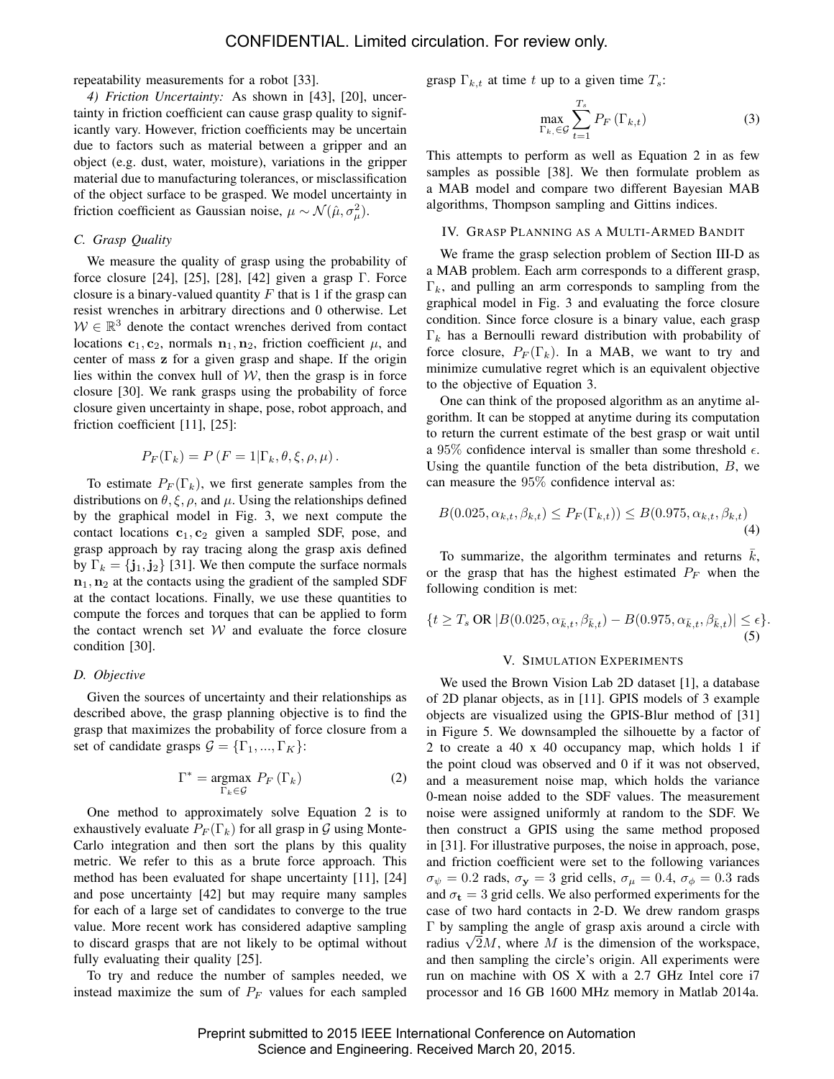repeatability measurements for a robot [33].

*4) Friction Uncertainty:* As shown in [43], [20], uncertainty in friction coefficient can cause grasp quality to significantly vary. However, friction coefficients may be uncertain due to factors such as material between a gripper and an object (e.g. dust, water, moisture), variations in the gripper material due to manufacturing tolerances, or misclassification of the object surface to be grasped. We model uncertainty in friction coefficient as Gaussian noise,  $\mu \sim \mathcal{N}(\hat{\mu}, \sigma_{\mu}^2)$ .

## *C. Grasp Quality*

We measure the quality of grasp using the probability of force closure [24], [25], [28], [42] given a grasp Γ. Force closure is a binary-valued quantity  $F$  that is 1 if the grasp can resist wrenches in arbitrary directions and 0 otherwise. Let  $W \in \mathbb{R}^3$  denote the contact wrenches derived from contact locations  $c_1, c_2$ , normals  $n_1, n_2$ , friction coefficient  $\mu$ , and center of mass z for a given grasp and shape. If the origin lies within the convex hull of  $W$ , then the grasp is in force closure [30]. We rank grasps using the probability of force closure given uncertainty in shape, pose, robot approach, and friction coefficient [11], [25]:

$$
P_F(\Gamma_k) = P(F = 1 | \Gamma_k, \theta, \xi, \rho, \mu).
$$

To estimate  $P_F(\Gamma_k)$ , we first generate samples from the distributions on  $\theta$ ,  $\xi$ ,  $\rho$ , and  $\mu$ . Using the relationships defined by the graphical model in Fig. 3, we next compute the contact locations  $c_1, c_2$  given a sampled SDF, pose, and grasp approach by ray tracing along the grasp axis defined by  $\Gamma_k = \{j_1, j_2\}$  [31]. We then compute the surface normals  $n_1$ ,  $n_2$  at the contacts using the gradient of the sampled SDF at the contact locations. Finally, we use these quantities to compute the forces and torques that can be applied to form the contact wrench set  $W$  and evaluate the force closure condition [30].

## *D. Objective*

Given the sources of uncertainty and their relationships as described above, the grasp planning objective is to find the grasp that maximizes the probability of force closure from a set of candidate grasps  $\mathcal{G} = {\{\Gamma_1, ..., \Gamma_K\}}$ :

$$
\Gamma^* = \underset{\Gamma_k \in \mathcal{G}}{\text{argmax}} \ P_F \left( \Gamma_k \right) \tag{2}
$$

One method to approximately solve Equation 2 is to exhaustively evaluate  $P_F(\Gamma_k)$  for all grasp in G using Monte-Carlo integration and then sort the plans by this quality metric. We refer to this as a brute force approach. This method has been evaluated for shape uncertainty [11], [24] and pose uncertainty [42] but may require many samples for each of a large set of candidates to converge to the true value. More recent work has considered adaptive sampling to discard grasps that are not likely to be optimal without fully evaluating their quality [25].

To try and reduce the number of samples needed, we instead maximize the sum of  $P_F$  values for each sampled grasp  $\Gamma_{k,t}$  at time t up to a given time  $T_s$ :

$$
\max_{\Gamma_k, \in \mathcal{G}} \sum_{t=1}^{T_s} P_F\left(\Gamma_{k,t}\right) \tag{3}
$$

This attempts to perform as well as Equation 2 in as few samples as possible [38]. We then formulate problem as a MAB model and compare two different Bayesian MAB algorithms, Thompson sampling and Gittins indices.

#### IV. GRASP PLANNING AS A MULTI-ARMED BANDIT

We frame the grasp selection problem of Section III-D as a MAB problem. Each arm corresponds to a different grasp,  $\Gamma_k$ , and pulling an arm corresponds to sampling from the graphical model in Fig. 3 and evaluating the force closure condition. Since force closure is a binary value, each grasp  $\Gamma_k$  has a Bernoulli reward distribution with probability of force closure,  $P_F(\Gamma_k)$ . In a MAB, we want to try and minimize cumulative regret which is an equivalent objective to the objective of Equation 3.

One can think of the proposed algorithm as an anytime algorithm. It can be stopped at anytime during its computation to return the current estimate of the best grasp or wait until a 95% confidence interval is smaller than some threshold  $\epsilon$ . Using the quantile function of the beta distribution, B, we can measure the 95% confidence interval as:

$$
B(0.025, \alpha_{k,t}, \beta_{k,t}) \le P_F(\Gamma_{k,t})) \le B(0.975, \alpha_{k,t}, \beta_{k,t})
$$
\n(4)

To summarize, the algorithm terminates and returns  $k$ , or the grasp that has the highest estimated  $P_F$  when the following condition is met:

$$
\{t \ge T_s \text{ OR } |B(0.025, \alpha_{\bar{k},t}, \beta_{\bar{k},t}) - B(0.975, \alpha_{\bar{k},t}, \beta_{\bar{k},t})| \le \epsilon\}.
$$
\n(5)

#### V. SIMULATION EXPERIMENTS

We used the Brown Vision Lab 2D dataset [1], a database of 2D planar objects, as in [11]. GPIS models of 3 example objects are visualized using the GPIS-Blur method of [31] in Figure 5. We downsampled the silhouette by a factor of 2 to create a 40 x 40 occupancy map, which holds 1 if the point cloud was observed and 0 if it was not observed, and a measurement noise map, which holds the variance 0-mean noise added to the SDF values. The measurement noise were assigned uniformly at random to the SDF. We then construct a GPIS using the same method proposed in [31]. For illustrative purposes, the noise in approach, pose, and friction coefficient were set to the following variances  $\sigma_{\psi} = 0.2$  rads,  $\sigma_{\mathbf{y}} = 3$  grid cells,  $\sigma_{\mu} = 0.4$ ,  $\sigma_{\phi} = 0.3$  rads and  $\sigma_t = 3$  grid cells. We also performed experiments for the case of two hard contacts in 2-D. We drew random grasps Γ by sampling the angle of grasp axis around a circle with r by sampling the angle of grasp axis around a circle with radius  $\sqrt{2}M$ , where M is the dimension of the workspace, and then sampling the circle's origin. All experiments were run on machine with OS X with a 2.7 GHz Intel core i7 processor and 16 GB 1600 MHz memory in Matlab 2014a.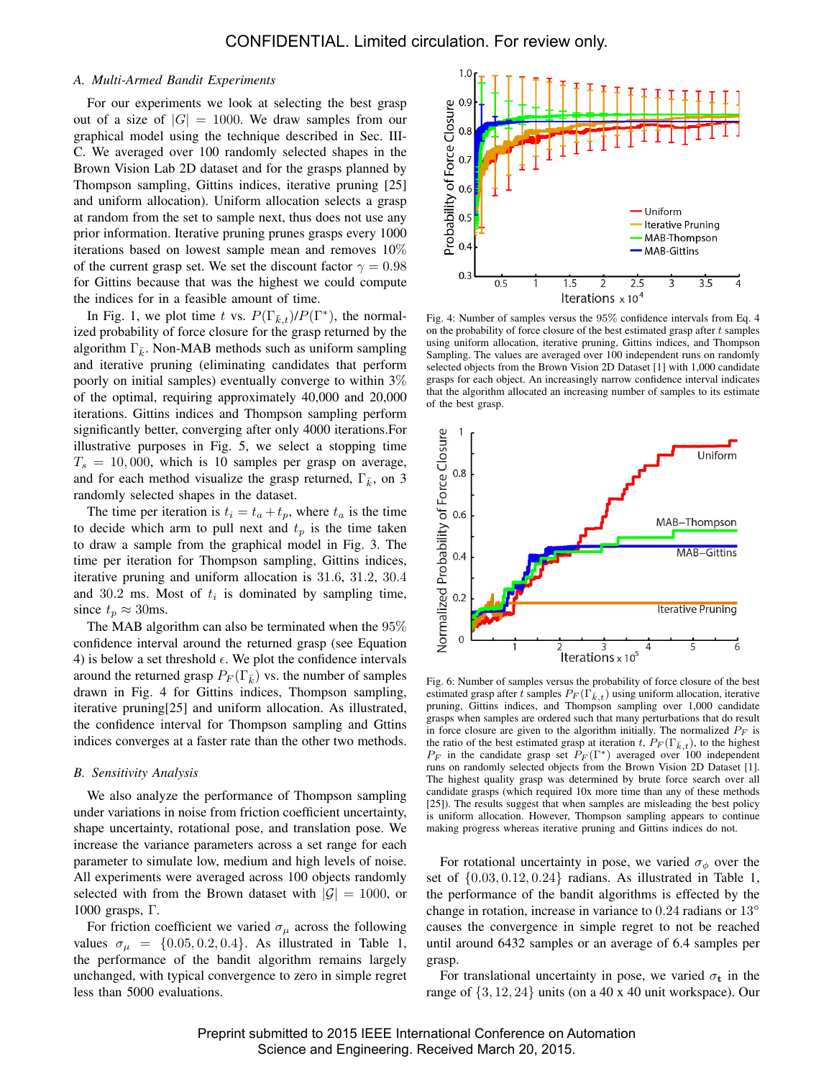## *A. Multi-Armed Bandit Experiments*

For our experiments we look at selecting the best grasp out of a size of  $|G| = 1000$ . We draw samples from our graphical model using the technique described in Sec. III-C. We averaged over 100 randomly selected shapes in the Brown Vision Lab 2D dataset and for the grasps planned by Thompson sampling, Gittins indices, iterative pruning [25] and uniform allocation). Uniform allocation selects a grasp at random from the set to sample next, thus does not use any prior information. Iterative pruning prunes grasps every 1000 iterations based on lowest sample mean and removes 10% of the current grasp set. We set the discount factor  $\gamma = 0.98$ for Gittins because that was the highest we could compute the indices for in a feasible amount of time.

In Fig. 1, we plot time t vs.  $P(\Gamma_{\bar{k},t})/P(\Gamma^*)$ , the normalized probability of force closure for the grasp returned by the algorithm  $\Gamma_{\bar{k}}$ . Non-MAB methods such as uniform sampling and iterative pruning (eliminating candidates that perform poorly on initial samples) eventually converge to within 3% of the optimal, requiring approximately 40,000 and 20,000 iterations. Gittins indices and Thompson sampling perform significantly better, converging after only 4000 iterations.For illustrative purposes in Fig. 5, we select a stopping time  $T_s = 10,000$ , which is 10 samples per grasp on average, and for each method visualize the grasp returned,  $\Gamma_{\bar{k}}$ , on 3 randomly selected shapes in the dataset.

The time per iteration is  $t_i = t_a + t_p$ , where  $t_a$  is the time to decide which arm to pull next and  $t_p$  is the time taken to draw a sample from the graphical model in Fig. 3. The time per iteration for Thompson sampling, Gittins indices, iterative pruning and uniform allocation is 31.6, 31.2, 30.4 and 30.2 ms. Most of  $t_i$  is dominated by sampling time, since  $t_p \approx 30$ ms.

The MAB algorithm can also be terminated when the 95% confidence interval around the returned grasp (see Equation 4) is below a set threshold  $\epsilon$ . We plot the confidence intervals around the returned grasp  $P_F(\Gamma_{\bar{k}})$  vs. the number of samples drawn in Fig. 4 for Gittins indices, Thompson sampling, iterative pruning[25] and uniform allocation. As illustrated, the confidence interval for Thompson sampling and Gttins indices converges at a faster rate than the other two methods.

## *B. Sensitivity Analysis*

We also analyze the performance of Thompson sampling under variations in noise from friction coefficient uncertainty, shape uncertainty, rotational pose, and translation pose. We increase the variance parameters across a set range for each parameter to simulate low, medium and high levels of noise. All experiments were averaged across 100 objects randomly selected with from the Brown dataset with  $|\mathcal{G}| = 1000$ , or 1000 grasps, Γ.

For friction coefficient we varied  $\sigma_{\mu}$  across the following values  $\sigma_{\mu} = \{0.05, 0.2, 0.4\}$ . As illustrated in Table 1, the performance of the bandit algorithm remains largely unchanged, with typical convergence to zero in simple regret less than 5000 evaluations.



Fig. 4: Number of samples versus the 95% confidence intervals from Eq. 4 on the probability of force closure of the best estimated grasp after  $t$  samples using uniform allocation, iterative pruning, Gittins indices, and Thompson Sampling. The values are averaged over 100 independent runs on randomly selected objects from the Brown Vision 2D Dataset [1] with 1,000 candidate grasps for each object. An increasingly narrow confidence interval indicates that the algorithm allocated an increasing number of samples to its estimate of the best grasp.



Fig. 6: Number of samples versus the probability of force closure of the best estimated grasp after t samples  $P_F(\Gamma_{k,t})$  using uniform allocation, iterative pruning, Gittins indices, and Thompson sampling over 1,000 candidate grasps when samples are ordered such that many perturbations that do result in force closure are given to the algorithm initially. The normalized  $P_F$  is the ratio of the best estimated grasp at iteration t,  $P_F(\Gamma_{\bar{k},t})$ , to the highest  $P_F$  in the candidate grasp set  $P_F(\Gamma^*)$  averaged over 100 independent runs on randomly selected objects from the Brown Vision 2D Dataset [1]. The highest quality grasp was determined by brute force search over all candidate grasps (which required 10x more time than any of these methods [25]). The results suggest that when samples are misleading the best policy is uniform allocation. However, Thompson sampling appears to continue making progress whereas iterative pruning and Gittins indices do not.

For rotational uncertainty in pose, we varied  $\sigma_{\phi}$  over the set of  $\{0.03, 0.12, 0.24\}$  radians. As illustrated in Table 1, the performance of the bandit algorithms is effected by the change in rotation, increase in variance to  $0.24$  radians or  $13^\circ$ causes the convergence in simple regret to not be reached until around 6432 samples or an average of 6.4 samples per grasp.

For translational uncertainty in pose, we varied  $\sigma_t$  in the range of  $\{3, 12, 24\}$  units (on a 40 x 40 unit workspace). Our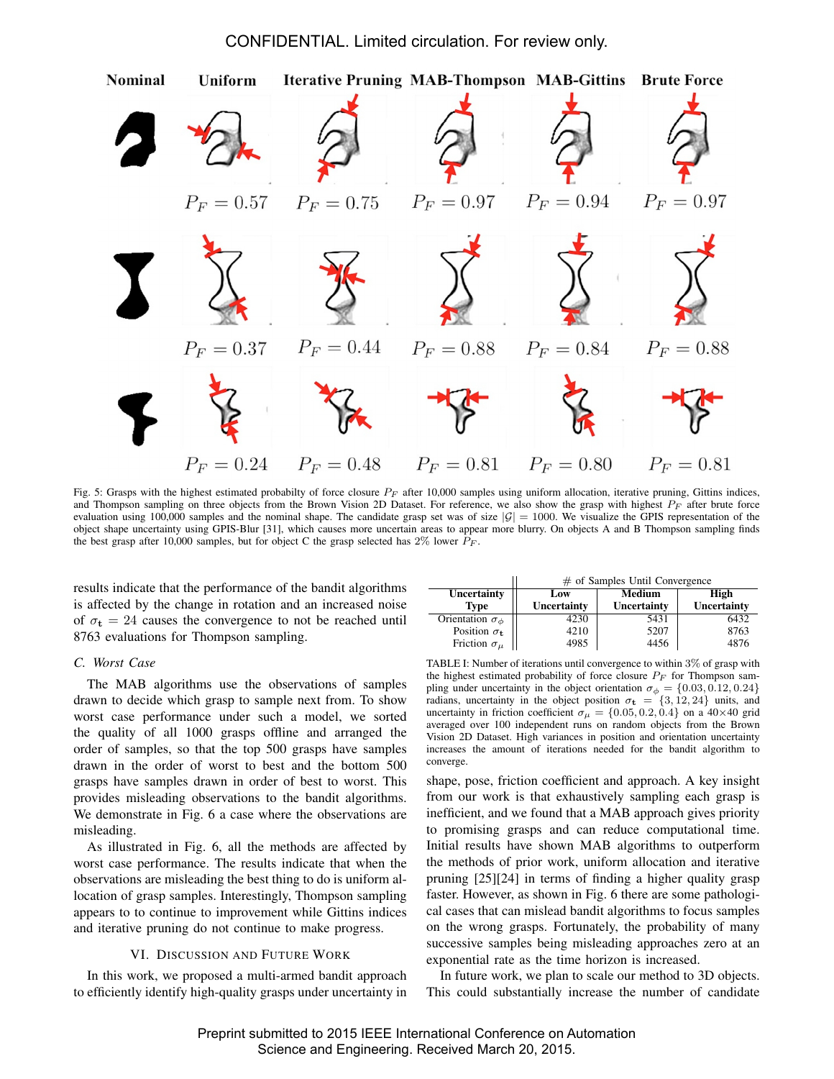## CONFIDENTIAL. Limited circulation. For review only.



Fig. 5: Grasps with the highest estimated probabilty of force closure  $P_F$  after 10,000 samples using uniform allocation, iterative pruning, Gittins indices, and Thompson sampling on three objects from the Brown Vision 2D Dataset. For reference, we also show the grasp with highest  $P_F$  after brute force evaluation using 100,000 samples and the nominal shape. The candidate grasp set was of size  $|\mathcal{G}| = 1000$ . We visualize the GPIS representation of the object shape uncertainty using GPIS-Blur [31], which causes more uncertain areas to appear more blurry. On objects A and B Thompson sampling finds the best grasp after 10,000 samples, but for object C the grasp selected has 2% lower  $P_F$ .

results indicate that the performance of the bandit algorithms is affected by the change in rotation and an increased noise of  $\sigma_t = 24$  causes the convergence to not be reached until 8763 evaluations for Thompson sampling.

## *C. Worst Case*

The MAB algorithms use the observations of samples drawn to decide which grasp to sample next from. To show worst case performance under such a model, we sorted the quality of all 1000 grasps offline and arranged the order of samples, so that the top 500 grasps have samples drawn in the order of worst to best and the bottom 500 grasps have samples drawn in order of best to worst. This provides misleading observations to the bandit algorithms. We demonstrate in Fig. 6 a case where the observations are misleading.

As illustrated in Fig. 6, all the methods are affected by worst case performance. The results indicate that when the observations are misleading the best thing to do is uniform allocation of grasp samples. Interestingly, Thompson sampling appears to to continue to improvement while Gittins indices and iterative pruning do not continue to make progress.

## VI. DISCUSSION AND FUTURE WORK

In this work, we proposed a multi-armed bandit approach to efficiently identify high-quality grasps under uncertainty in

|                                | $\#$ of Samples Until Convergence |             |             |
|--------------------------------|-----------------------------------|-------------|-------------|
| Uncertainty                    | Low                               | Medium      | High        |
| <b>Type</b>                    | Uncertainty                       | Uncertainty | Uncertainty |
| Orientation $\sigma_{\phi}$    | 4230                              | 5431        | 6432        |
| Position $\sigma_{\mathbf{t}}$ | 4210                              | 5207        | 8763        |
| Friction $\sigma_{\mu}$        | 4985                              | 4456        | 4876        |

TABLE I: Number of iterations until convergence to within 3% of grasp with the highest estimated probability of force closure  $P_F$  for Thompson sampling under uncertainty in the object orientation  $\sigma_{\phi} = \{0.03, 0.12, 0.24\}$ radians, uncertainty in the object position  $\sigma_t = \{3, 12, 24\}$  units, and uncertainty in friction coefficient  $\sigma_{\mu} = \{0.05, 0.2, 0.4\}$  on a 40×40 grid averaged over 100 independent runs on random objects from the Brown Vision 2D Dataset. High variances in position and orientation uncertainty increases the amount of iterations needed for the bandit algorithm to converge.

shape, pose, friction coefficient and approach. A key insight from our work is that exhaustively sampling each grasp is inefficient, and we found that a MAB approach gives priority to promising grasps and can reduce computational time. Initial results have shown MAB algorithms to outperform the methods of prior work, uniform allocation and iterative pruning [25][24] in terms of finding a higher quality grasp faster. However, as shown in Fig. 6 there are some pathological cases that can mislead bandit algorithms to focus samples on the wrong grasps. Fortunately, the probability of many successive samples being misleading approaches zero at an exponential rate as the time horizon is increased.

In future work, we plan to scale our method to 3D objects. This could substantially increase the number of candidate